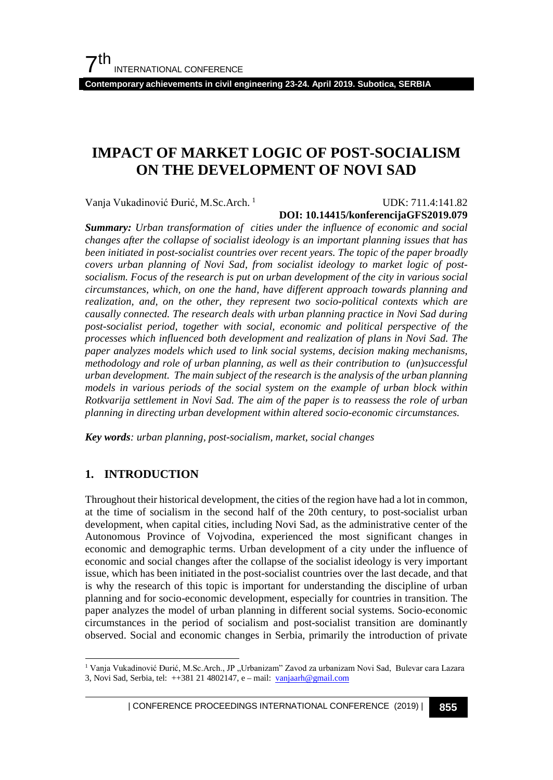**Contemporary achievements in civil engineering 23-24. April 2019. Subotica, SERBIA**

# **IMPACT OF MARKET LOGIC OF POST-SOCIALISM ON THE DEVELOPMENT OF NOVI SAD**

Vanja Vukadinović Đurić, M.Sc.Arch. [1](#page-0-0)

 UDK: 711.4:141.82 **DOI: 10.14415/konferencijaGFS2019.079**

*Summary: Urban transformation of cities under the influence of economic and social changes after the collapse of socialist ideology is an important planning issues that has been initiated in post-socialist countries over recent years. The topic of the paper broadly covers urban planning of Novi Sad, from socialist ideology to market logic of postsocialism. Focus of the research is put on urban development of the city in various social circumstances, which, on one the hand, have different approach towards planning and realization, and, on the other, they represent two socio-political contexts which are causally connected. The research deals with urban planning practice in Novi Sad during post-socialist period, together with social, economic and political perspective of the processes which influenced both development and realization of plans in Novi Sad. The paper analyzes models which used to link social systems, decision making mechanisms, methodology and role of urban planning, as well as their contribution to (un)successful urban development. The main subject of the research is the analysis of the urban planning models in various periods of the social system on the example of urban block within Rotkvarija settlement in Novi Sad. The aim of the paper is to reassess the role of urban planning in directing urban development within altered socio-economic circumstances.* 

*Key words: urban planning, post-socialism, market, social changes*

## **1. INTRODUCTION**

Throughout their historical development, the cities of the region have had a lot in common, at the time of socialism in the second half of the 20th century, to post-socialist urban development, when capital cities, including Novi Sad, as the administrative center of the Autonomous Province of Vojvodina, experienced the most significant changes in economic and demographic terms. Urban development of a city under the influence of economic and social changes after the collapse of the socialist ideology is very important issue, which has been initiated in the post-socialist countries over the last decade, and that is why the research of this topic is important for understanding the discipline of urban planning and for socio-economic development, especially for countries in transition. The paper analyzes the model of urban planning in different social systems. Socio-economic circumstances in the period of socialism and post-socialist transition are dominantly observed. Social and economic changes in Serbia, primarily the introduction of private

<span id="page-0-0"></span><sup>&</sup>lt;sup>1</sup> Vanja Vukadinović Đurić, M.Sc.Arch., JP "Urbanizam" Zavod za urbanizam Novi Sad, Bulevar cara Lazara 3, Novi Sad, Serbia, tel: ++381 21 4802147, e – mail: [vanjaarh@gmail.com](mailto:vanjaarh@gmail.com)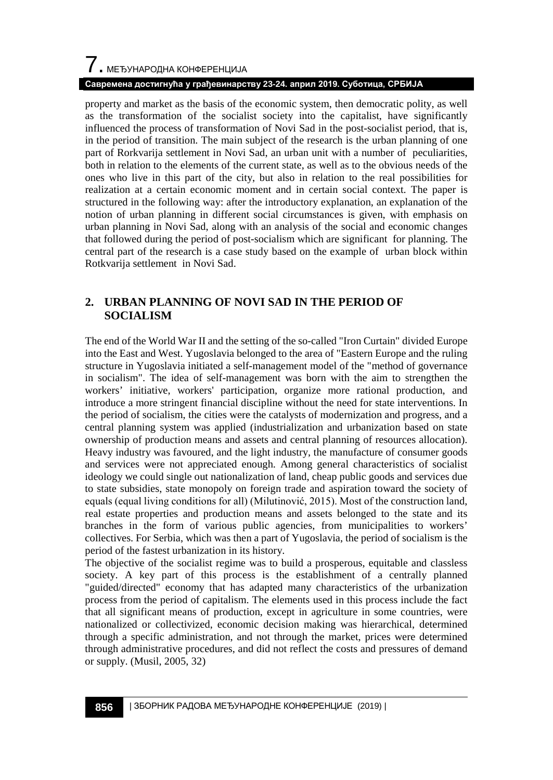### **Савремена достигнућа у грађевинарству 23-24. април 2019. Суботица, СРБИЈА**

property and market as the basis of the economic system, then democratic polity, as well as the transformation of the socialist society into the capitalist, have significantly influenced the process of transformation of Novi Sad in the post-socialist period, that is, in the period of transition. The main subject of the research is the urban planning of one part of Rorkvarija settlement in Novi Sad, an urban unit with a number of peculiarities, both in relation to the elements of the current state, as well as to the obvious needs of the ones who live in this part of the city, but also in relation to the real possibilities for realization at a certain economic moment and in certain social context. The paper is structured in the following way: after the introductory explanation, an explanation of the notion of urban planning in different social circumstances is given, with emphasis on urban planning in Novi Sad, along with an analysis of the social and economic changes that followed during the period of post-socialism which are significant for planning. The central part of the research is a case study based on the example of urban block within Rotkvarija settlement in Novi Sad.

### **2. URBAN PLANNING OF NOVI SAD IN THE PERIOD OF SOCIALISM**

The end of the World War II and the setting of the so-called "Iron Curtain" divided Europe into the East and West. Yugoslavia belonged to the area of "Eastern Europe and the ruling structure in Yugoslavia initiated a self-management model of the "method of governance in socialism". The idea of self-management was born with the aim to strengthen the workers' initiative, workers' participation, organize more rational production, and introduce a more stringent financial discipline without the need for state interventions. In the period of socialism, the cities were the catalysts of modernization and progress, and a central planning system was applied (industrialization and urbanization based on state ownership of production means and assets and central planning of resources allocation). Heavy industry was favoured, and the light industry, the manufacture of consumer goods and services were not appreciated enough. Among general characteristics of socialist ideology we could single out nationalization of land, cheap public goods and services due to state subsidies, state monopoly on foreign trade and aspiration toward the society of equals (equal living conditions for all) (Milutinović, 2015). Most of the construction land, real estate properties and production means and assets belonged to the state and its branches in the form of various public agencies, from municipalities to workers' collectives. For Serbia, which was then a part of Yugoslavia, the period of socialism is the period of the fastest urbanization in its history.

The objective of the socialist regime was to build a prosperous, equitable and classless society. A key part of this process is the establishment of a centrally planned "guided/directed" economy that has adapted many characteristics of the urbanization process from the period of capitalism. The elements used in this process include the fact that all significant means of production, except in agriculture in some countries, were nationalized or collectivized, economic decision making was hierarchical, determined through a specific administration, and not through the market, prices were determined through administrative procedures, and did not reflect the costs and pressures of demand or supply. (Musil, 2005, 32)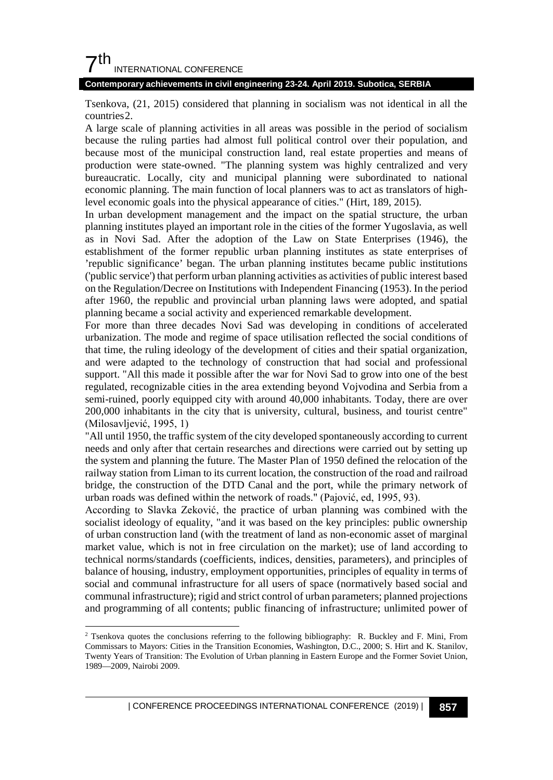## $7<sup>th</sup>$ INTERNATIONAL CONFERENCE

#### **Contemporary achievements in civil engineering 23-24. April 2019. Subotica, SERBIA**

Tsenkova, (21, 2015) considered that planning in socialism was not identical in all the countries[2.](#page-2-0)

A large scale of planning activities in all areas was possible in the period of socialism because the ruling parties had almost full political control over their population, and because most of the municipal construction land, real estate properties and means of production were state-owned. "The planning system was highly centralized and very bureaucratic. Locally, city and municipal planning were subordinated to national economic planning. The main function of local planners was to act as translators of highlevel economic goals into the physical appearance of cities." (Hirt, 189, 2015).

In urban development management and the impact on the spatial structure, the urban planning institutes played an important role in the cities of the former Yugoslavia, as well as in Novi Sad. After the adoption of the Law on State Enterprises (1946), the establishment of the former republic urban planning institutes as state enterprises of 'republic significance' began. The urban planning institutes became public institutions ('public service') that perform urban planning activities as activities of public interest based on the Regulation/Decree on Institutions with Independent Financing (1953). In the period after 1960, the republic and provincial urban planning laws were adopted, and spatial planning became a social activity and experienced remarkable development.

For more than three decades Novi Sad was developing in conditions of accelerated urbanization. The mode and regime of space utilisation reflected the social conditions of that time, the ruling ideology of the development of cities and their spatial organization, and were adapted to the technology of construction that had social and professional support. "All this made it possible after the war for Novi Sad to grow into one of the best regulated, recognizable cities in the area extending beyond Vojvodina and Serbia from a semi-ruined, poorly equipped city with around 40,000 inhabitants. Today, there are over 200,000 inhabitants in the city that is university, cultural, business, and tourist centre" (Milosavljević, 1995, 1)

"All until 1950, the traffic system of the city developed spontaneously according to current needs and only after that certain researches and directions were carried out by setting up the system and planning the future. The Master Plan of 1950 defined the relocation of the railway station from Liman to its current location, the construction of the road and railroad bridge, the construction of the DTD Canal and the port, while the primary network of urban roads was defined within the network of roads." (Pajović, ed, 1995, 93).

According to Slavka Zeković, the practice of urban planning was combined with the socialist ideology of equality, "and it was based on the key principles: public ownership of urban construction land (with the treatment of land as non-economic asset of marginal market value, which is not in free circulation on the market); use of land according to technical norms/standards (coefficients, indices, densities, parameters), and principles of balance of housing, industry, employment opportunities, principles of equality in terms of social and communal infrastructure for all users of space (normatively based social and communal infrastructure); rigid and strict control of urban parameters; planned projections and programming of all contents; public financing of infrastructure; unlimited power of

<span id="page-2-0"></span> <sup>2</sup> Tsenkova quotes the conclusions referring to the following bibliography: R. Buckley and F. Mini, From Commissars to Mayors: Cities in the Transition Economies, Washington, D.C., 2000; S. Hirt and K. Stanilov, Twenty Years of Transition: The Evolution of Urban planning in Eastern Europe and the Former Soviet Union, 1989—2009, Nairobi 2009.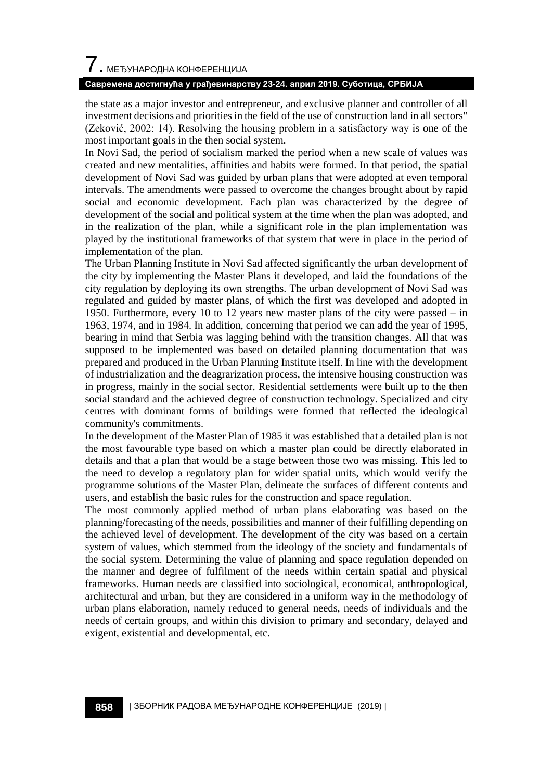# $\overline{\phantom{a}}$ . МЕЂУНАРОДНА КОНФЕРЕНЦИЈА

### **Савремена достигнућа у грађевинарству 23-24. април 2019. Суботица, СРБИЈА**

the state as a major investor and entrepreneur, and exclusive planner and controller of all investment decisions and priorities in the field of the use of construction land in all sectors" (Zeković, 2002: 14). Resolving the housing problem in a satisfactory way is one of the most important goals in the then social system.

In Novi Sad, the period of socialism marked the period when a new scale of values was created and new mentalities, affinities and habits were formed. In that period, the spatial development of Novi Sad was guided by urban plans that were adopted at even temporal intervals. The amendments were passed to overcome the changes brought about by rapid social and economic development. Each plan was characterized by the degree of development of the social and political system at the time when the plan was adopted, and in the realization of the plan, while a significant role in the plan implementation was played by the institutional frameworks of that system that were in place in the period of implementation of the plan.

The Urban Planning Institute in Novi Sad affected significantly the urban development of the city by implementing the Master Plans it developed, and laid the foundations of the city regulation by deploying its own strengths. The urban development of Novi Sad was regulated and guided by master plans, of which the first was developed and adopted in 1950. Furthermore, every 10 to 12 years new master plans of the city were passed – in 1963, 1974, and in 1984. In addition, concerning that period we can add the year of 1995, bearing in mind that Serbia was lagging behind with the transition changes. All that was supposed to be implemented was based on detailed planning documentation that was prepared and produced in the Urban Planning Institute itself. In line with the development of industrialization and the deagrarization process, the intensive housing construction was in progress, mainly in the social sector. Residential settlements were built up to the then social standard and the achieved degree of construction technology. Specialized and city centres with dominant forms of buildings were formed that reflected the ideological community's commitments.

In the development of the Master Plan of 1985 it was established that a detailed plan is not the most favourable type based on which a master plan could be directly elaborated in details and that a plan that would be a stage between those two was missing. This led to the need to develop a regulatory plan for wider spatial units, which would verify the programme solutions of the Master Plan, delineate the surfaces of different contents and users, and establish the basic rules for the construction and space regulation.

The most commonly applied method of urban plans elaborating was based on the planning/forecasting of the needs, possibilities and manner of their fulfilling depending on the achieved level of development. The development of the city was based on a certain system of values, which stemmed from the ideology of the society and fundamentals of the social system. Determining the value of planning and space regulation depended on the manner and degree of fulfilment of the needs within certain spatial and physical frameworks. Human needs are classified into sociological, economical, anthropological, architectural and urban, but they are considered in a uniform way in the methodology of urban plans elaboration, namely reduced to general needs, needs of individuals and the needs of certain groups, and within this division to primary and secondary, delayed and exigent, existential and developmental, etc.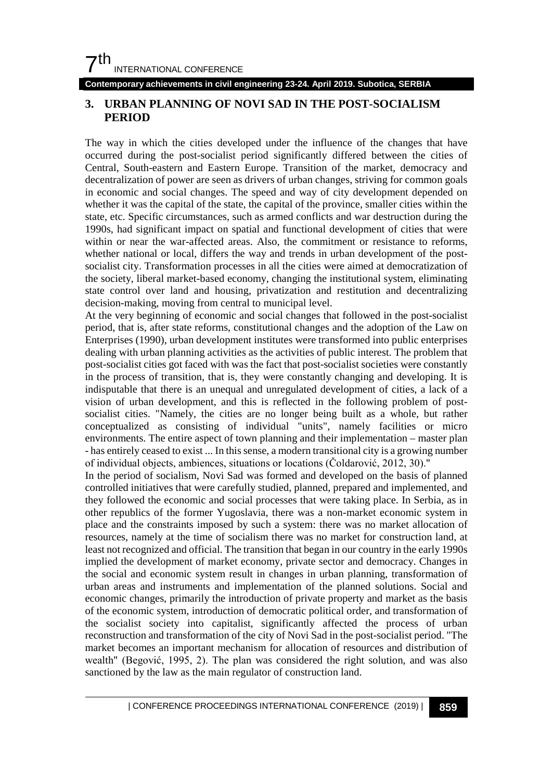#### **Contemporary achievements in civil engineering 23-24. April 2019. Subotica, SERBIA**

### **3. URBAN PLANNING OF NOVI SAD IN THE POST-SOCIALISM PERIOD**

The way in which the cities developed under the influence of the changes that have occurred during the post-socialist period significantly differed between the cities of Central, South-eastern and Eastern Europe. Transition of the market, democracy and decentralization of power are seen as drivers of urban changes, striving for common goals in economic and social changes. The speed and way of city development depended on whether it was the capital of the state, the capital of the province, smaller cities within the state, etc. Specific circumstances, such as armed conflicts and war destruction during the 1990s, had significant impact on spatial and functional development of cities that were within or near the war-affected areas. Also, the commitment or resistance to reforms, whether national or local, differs the way and trends in urban development of the postsocialist city. Transformation processes in all the cities were aimed at democratization of the society, liberal market-based economy, changing the institutional system, eliminating state control over land and housing, privatization and restitution and decentralizing decision-making, moving from central to municipal level.

At the very beginning of economic and social changes that followed in the post-socialist period, that is, after state reforms, constitutional changes and the adoption of the Law on Enterprises (1990), urban development institutes were transformed into public enterprises dealing with urban planning activities as the activities of public interest. The problem that post-socialist cities got faced with was the fact that post-socialist societies were constantly in the process of transition, that is, they were constantly changing and developing. It is indisputable that there is an unequal and unregulated development of cities, a lack of a vision of urban development, and this is reflected in the following problem of postsocialist cities. "Namely, the cities are no longer being built as a whole, but rather conceptualized as consisting of individual "units", namely facilities or micro environments. The entire aspect of town planning and their implementation – master plan - has entirely ceased to exist ... In this sense, a modern transitional city is a growing number of individual objects, ambiences, situations or locations (Čoldarović, 2012, 30)."

In the period of socialism, Novi Sad was formed and developed on the basis of planned controlled initiatives that were carefully studied, planned, prepared and implemented, and they followed the economic and social processes that were taking place. In Serbia, as in other republics of the former Yugoslavia, there was a non-market economic system in place and the constraints imposed by such a system: there was no market allocation of resources, namely at the time of socialism there was no market for construction land, at least not recognized and official. The transition that began in our country in the early 1990s implied the development of market economy, private sector and democracy. Changes in the social and economic system result in changes in urban planning, transformation of urban areas and instruments and implementation of the planned solutions. Social and economic changes, primarily the introduction of private property and market as the basis of the economic system, introduction of democratic political order, and transformation of the socialist society into capitalist, significantly affected the process of urban reconstruction and transformation of the city of Novi Sad in the post-socialist period. "The market becomes an important mechanism for allocation of resources and distribution of wealth" (Begović, 1995, 2). The plan was considered the right solution, and was also sanctioned by the law as the main regulator of construction land.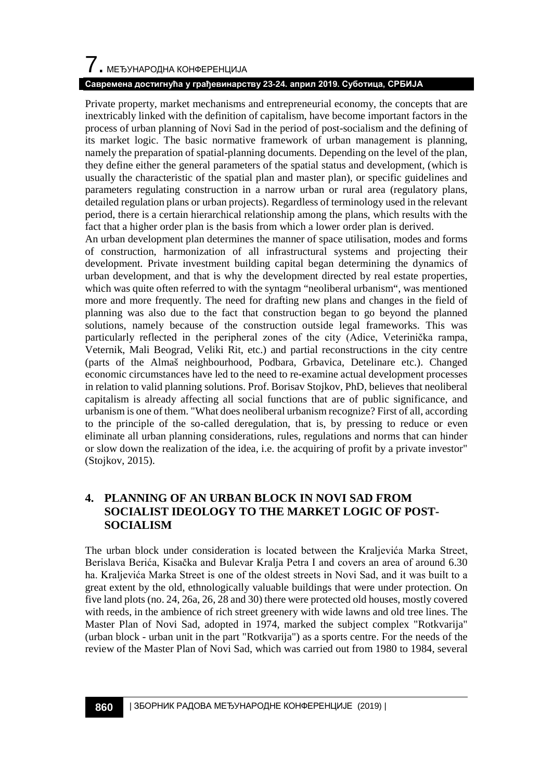# $\overline{\phantom{a}}$ . МЕЂУНАРОДНА КОНФЕРЕНЦИЈА

### **Савремена достигнућа у грађевинарству 23-24. април 2019. Суботица, СРБИЈА**

Private property, market mechanisms and entrepreneurial economy, the concepts that are inextricably linked with the definition of capitalism, have become important factors in the process of urban planning of Novi Sad in the period of post-socialism and the defining of its market logic. The basic normative framework of urban management is planning, namely the preparation of spatial-planning documents. Depending on the level of the plan, they define either the general parameters of the spatial status and development, (which is usually the characteristic of the spatial plan and master plan), or specific guidelines and parameters regulating construction in a narrow urban or rural area (regulatory plans, detailed regulation plans or urban projects). Regardless of terminology used in the relevant period, there is a certain hierarchical relationship among the plans, which results with the fact that a higher order plan is the basis from which a lower order plan is derived.

An urban development plan determines the manner of space utilisation, modes and forms of construction, harmonization of all infrastructural systems and projecting their development. Private investment building capital began determining the dynamics of urban development, and that is why the development directed by real estate properties, which was quite often referred to with the syntagm "neoliberal urbanism", was mentioned more and more frequently. The need for drafting new plans and changes in the field of planning was also due to the fact that construction began to go beyond the planned solutions, namely because of the construction outside legal frameworks. This was particularly reflected in the peripheral zones of the city (Adice, Veterinička rampa, Veternik, Mali Beograd, Veliki Rit, etc.) and partial reconstructions in the city centre (parts of the Almaš neighbourhood, Podbara, Grbavica, Detelinare etc.). Changed economic circumstances have led to the need to re-examine actual development processes in relation to valid planning solutions. Prof. Borisav Stojkov, PhD, believes that neoliberal capitalism is already affecting all social functions that are of public significance, and urbanism is one of them. "What does neoliberal urbanism recognize? First of all, according to the principle of the so-called deregulation, that is, by pressing to reduce or even eliminate all urban planning considerations, rules, regulations and norms that can hinder or slow down the realization of the idea, i.e. the acquiring of profit by a private investor" (Stojkov, 2015).

### **4. PLANNING OF AN URBAN BLOCK IN NOVI SAD FROM SOCIALIST IDEOLOGY TO THE MARKET LOGIC OF POST-SOCIALISM**

The urban block under consideration is located between the Kraljevića Marka Street, Berislava Berića, Kisačka and Bulevar Kralja Petra I and covers an area of around 6.30 ha. Kraljevića Marka Street is one of the oldest streets in Novi Sad, and it was built to a great extent by the old, ethnologically valuable buildings that were under protection. On five land plots (no. 24, 26a, 26, 28 and 30) there were protected old houses, mostly covered with reeds, in the ambience of rich street greenery with wide lawns and old tree lines. The Master Plan of Novi Sad, adopted in 1974, marked the subject complex "Rotkvarija" (urban block - urban unit in the part "Rotkvarija") as a sports centre. For the needs of the review of the Master Plan of Novi Sad, which was carried out from 1980 to 1984, several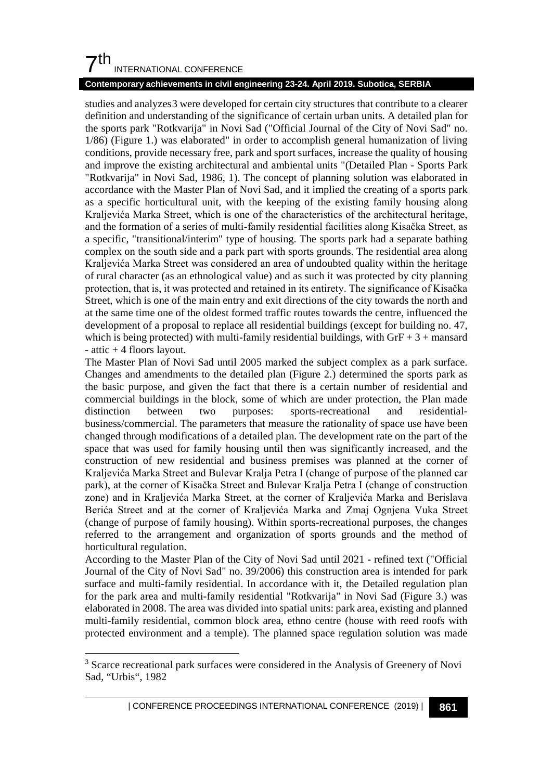# $7<sup>th</sup>$ INTERNATIONAL CONFERENCE

### **Contemporary achievements in civil engineering 23-24. April 2019. Subotica, SERBIA**

studies and analyzes[3](#page-6-0) were developed for certain city structures that contribute to a clearer definition and understanding of the significance of certain urban units. A detailed plan for the sports park "Rotkvarija" in Novi Sad ("Official Journal of the City of Novi Sad" no. 1/86) (Figure 1.) was elaborated" in order to accomplish general humanization of living conditions, provide necessary free, park and sport surfaces, increase the quality of housing and improve the existing architectural and ambiental units "(Detailed Plan - Sports Park "Rotkvarija" in Novi Sad, 1986, 1). The concept of planning solution was elaborated in accordance with the Master Plan of Novi Sad, and it implied the creating of a sports park as a specific horticultural unit, with the keeping of the existing family housing along Kraljevića Marka Street, which is one of the characteristics of the architectural heritage, and the formation of a series of multi-family residential facilities along Kisačka Street, as a specific, "transitional/interim" type of housing. The sports park had a separate bathing complex on the south side and a park part with sports grounds. The residential area along Kraljevića Marka Street was considered an area of undoubted quality within the heritage of rural character (as an ethnological value) and as such it was protected by city planning protection, that is, it was protected and retained in its entirety. The significance of Kisačka Street, which is one of the main entry and exit directions of the city towards the north and at the same time one of the oldest formed traffic routes towards the centre, influenced the development of a proposal to replace all residential buildings (except for building no. 47, which is being protected) with multi-family residential buildings, with  $G_F + 3 +$  mansard - attic + 4 floors layout.

The Master Plan of Novi Sad until 2005 marked the subject complex as a park surface. Changes and amendments to the detailed plan (Figure 2.) determined the sports park as the basic purpose, and given the fact that there is a certain number of residential and commercial buildings in the block, some of which are under protection, the Plan made distinction between two purposes: sports-recreational and residentialbusiness/commercial. The parameters that measure the rationality of space use have been changed through modifications of a detailed plan. The development rate on the part of the space that was used for family housing until then was significantly increased, and the construction of new residential and business premises was planned at the corner of Kraljevića Marka Street and Bulevar Kralja Petra I (change of purpose of the planned car park), at the corner of Kisačka Street and Bulevar Kralja Petra I (change of construction zone) and in Kraljevića Marka Street, at the corner of Kraljevića Marka and Berislava Berića Street and at the corner of Kraljevića Marka and Zmaj Ognjena Vuka Street (change of purpose of family housing). Within sports-recreational purposes, the changes referred to the arrangement and organization of sports grounds and the method of horticultural regulation.

According to the Master Plan of the City of Novi Sad until 2021 - refined text ("Official Journal of the City of Novi Sad" no. 39/2006) this construction area is intended for park surface and multi-family residential. In accordance with it, the Detailed regulation plan for the park area and multi-family residential "Rotkvarija" in Novi Sad (Figure 3.) was elaborated in 2008. The area was divided into spatial units: park area, existing and planned multi-family residential, common block area, ethno centre (house with reed roofs with protected environment and a temple). The planned space regulation solution was made

<span id="page-6-0"></span><sup>&</sup>lt;sup>3</sup> Scarce recreational park surfaces were considered in the Analysis of Greenery of Novi Sad, "Urbis", 1982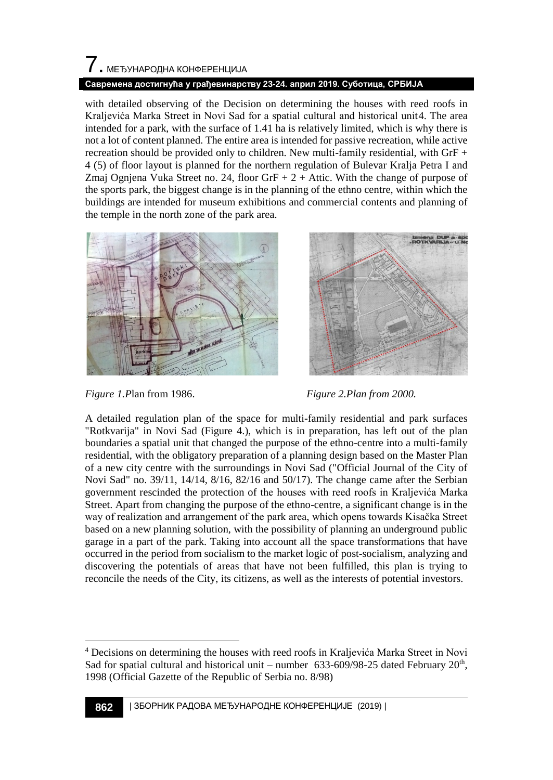# 7. МЕЂУНАРОДНА КОНФЕРЕНЦИЈА **Савремена достигнућа у грађевинарству 23-24. април 2019. Суботица, СРБИЈА**

with detailed observing of the Decision on determining the houses with reed roofs in Kraljevića Marka Street in Novi Sad for a spatial cultural and historical unit[4.](#page-7-0) The area intended for a park, with the surface of 1.41 ha is relatively limited, which is why there is not a lot of content planned. The entire area is intended for passive recreation, while active recreation should be provided only to children. New multi-family residential, with GrF + 4 (5) of floor layout is planned for the northern regulation of Bulevar Kralja Petra I and Zmaj Ognjena Vuka Street no. 24, floor GrF  $+ 2 +$  Attic. With the change of purpose of the sports park, the biggest change is in the planning of the ethno centre, within which the buildings are intended for museum exhibitions and commercial contents and planning of the temple in the north zone of the park area.





*Figure 1.P*lan from 1986. *Figure 2.Plan from 2000.*

A detailed regulation plan of the space for multi-family residential and park surfaces "Rotkvarija" in Novi Sad (Figure 4.), which is in preparation, has left out of the plan boundaries a spatial unit that changed the purpose of the ethno-centre into a multi-family residential, with the obligatory preparation of a planning design based on the Master Plan of a new city centre with the surroundings in Novi Sad ("Official Journal of the City of Novi Sad" no. 39/11, 14/14, 8/16, 82/16 and 50/17). The change came after the Serbian government rescinded the protection of the houses with reed roofs in Kraljevića Marka Street. Apart from changing the purpose of the ethno-centre, a significant change is in the way of realization and arrangement of the park area, which opens towards Kisačka Street based on a new planning solution, with the possibility of planning an underground public garage in a part of the park. Taking into account all the space transformations that have occurred in the period from socialism to the market logic of post-socialism, analyzing and discovering the potentials of areas that have not been fulfilled, this plan is trying to reconcile the needs of the City, its citizens, as well as the interests of potential investors.

<span id="page-7-0"></span> <sup>4</sup> Decisions on determining the houses with reed roofs in Kraljevića Marka Street in Novi Sad for spatial cultural and historical unit – number 633-609/98-25 dated February  $20<sup>th</sup>$ , 1998 (Official Gazette of the Republic of Serbia no. 8/98)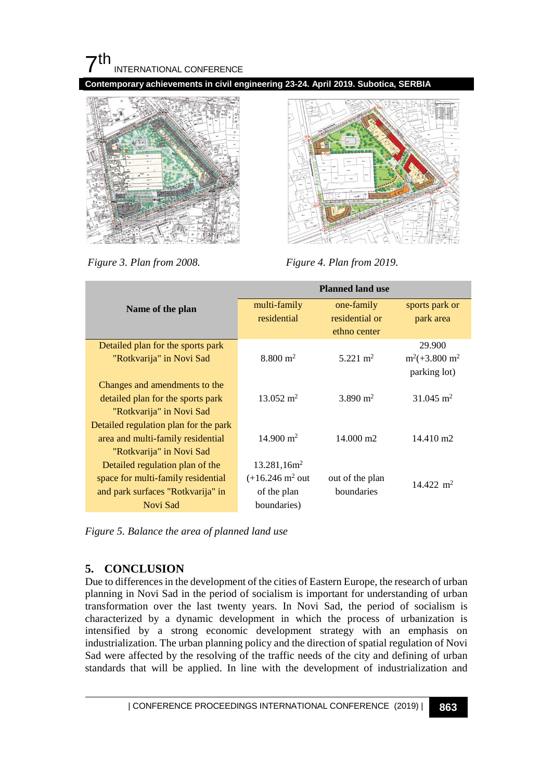$7<sup>th</sup>$ INTERNATIONAL CONFERENCE

**Contemporary achievements in civil engineering 23-24. April 2019. Subotica, SERBIA**



*Figure 3. Plan from 2008. Figure 4. Plan from 2019.*



|                                       | <b>Planned land use</b>             |                      |                         |
|---------------------------------------|-------------------------------------|----------------------|-------------------------|
| Name of the plan                      | multi-family                        | one-family           | sports park or          |
|                                       | residential                         | residential or       | park area               |
|                                       |                                     | ethno center         |                         |
| Detailed plan for the sports park     |                                     |                      | 29.900                  |
| "Rotkvarija" in Novi Sad              | $8.800 \text{ m}^2$                 | 5.221 $m2$           | $m^2(+3.800 m^2)$       |
|                                       |                                     |                      | parking lot)            |
| Changes and amendments to the         |                                     |                      |                         |
| detailed plan for the sports park     | $13.052 \text{ m}^2$                | $3.890 \text{ m}^2$  | $31.045$ m <sup>2</sup> |
| "Rotkvarija" in Novi Sad              |                                     |                      |                         |
| Detailed regulation plan for the park |                                     |                      |                         |
| area and multi-family residential     | $14.900 \text{ m}^2$                | $14.000 \text{ m}$ 2 | 14.410 m2               |
| "Rotkvarija" in Novi Sad              |                                     |                      |                         |
| Detailed regulation plan of the       | 13.281,16m <sup>2</sup>             |                      |                         |
| space for multi-family residential    | $(+16.246 \text{ m}^2 \text{ out})$ | out of the plan      | $14.422 \text{ m}^2$    |
| and park surfaces "Rotkvarija" in     | of the plan                         | boundaries           |                         |
| Novi Sad                              | boundaries)                         |                      |                         |

*Figure 5. Balance the area of planned land use*

## **5. CONCLUSION**

Due to differences in the development of the cities of Eastern Europe, the research of urban planning in Novi Sad in the period of socialism is important for understanding of urban transformation over the last twenty years. In Novi Sad, the period of socialism is characterized by a dynamic development in which the process of urbanization is intensified by a strong economic development strategy with an emphasis on industrialization. The urban planning policy and the direction of spatial regulation of Novi Sad were affected by the resolving of the traffic needs of the city and defining of urban standards that will be applied. In line with the development of industrialization and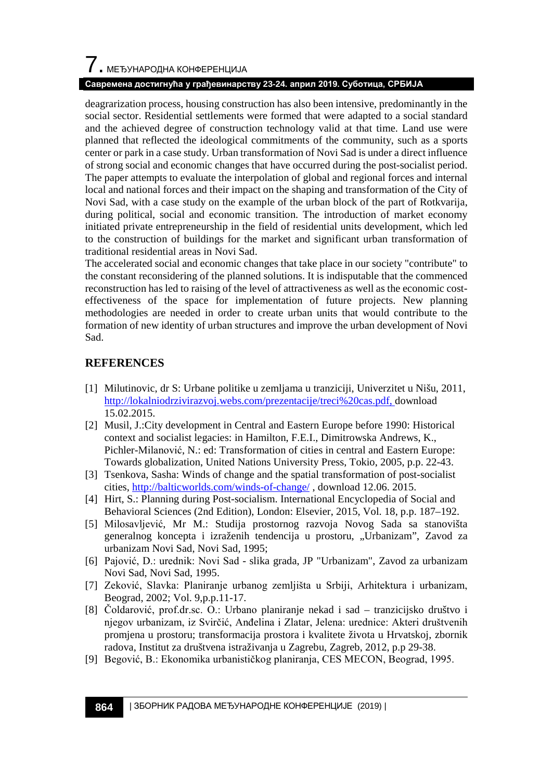### **Савремена достигнућа у грађевинарству 23-24. април 2019. Суботица, СРБИЈА**

deagrarization process, housing construction has also been intensive, predominantly in the social sector. Residential settlements were formed that were adapted to a social standard and the achieved degree of construction technology valid at that time. Land use were planned that reflected the ideological commitments of the community, such as a sports center or park in a case study. Urban transformation of Novi Sad is under a direct influence of strong social and economic changes that have occurred during the post-socialist period. The paper attempts to evaluate the interpolation of global and regional forces and internal local and national forces and their impact on the shaping and transformation of the City of Novi Sad, with a case study on the example of the urban block of the part of Rotkvarija, during political, social and economic transition. The introduction of market economy initiated private entrepreneurship in the field of residential units development, which led to the construction of buildings for the market and significant urban transformation of traditional residential areas in Novi Sad.

The accelerated social and economic changes that take place in our society "contribute" to the constant reconsidering of the planned solutions. It is indisputable that the commenced reconstruction has led to raising of the level of attractiveness as well as the economic costeffectiveness of the space for implementation of future projects. New planning methodologies are needed in order to create urban units that would contribute to the formation of new identity of urban structures and improve the urban development of Novi Sad.

### **REFERENCES**

- [1] Milutinovic, dr S: Urbane politike u zemljama u tranziciji, Univerzitet u Nišu, 2011, [http://lokalniodrzivirazvoj.webs.com/prezentacije/treci%20cas.pdf,](http://lokalniodrzivirazvoj.webs.com/prezentacije/treci%20cas.pdf) download 15.02.2015.
- [2] Musil, J.:City development in Central and Eastern Europe before 1990: Historical context and socialist legacies: in Hamilton, F.E.I., Dimitrowska Andrews, K., Pichler-Milanović, N.: ed: Transformation of cities in central and Eastern Europe: Towards globalization, United Nations University Press, Tokio, 2005, p.p. 22-43.
- [3] Tsenkova, Sasha: Winds of change and the spatial transformation of post-socialist cities, http://balticworlds.com/winds-of-change/ , download 12.06. 2015.
- [4] Hirt, S.: Planning during Post-socialism. International Encyclopedia of Social and Behavioral Sciences (2nd Edition), London: Elsevier, 2015, Vol. 18, p.p. 187–192.
- [5] Milosavljević, Mr M.: Studija prostornog razvoja Novog Sada sa stanovišta generalnog koncepta i izraženih tendencija u prostoru, "Urbanizam", Zavod za urbanizam Novi Sad, Novi Sad, 1995;
- [6] Pajović, D.: urednik: Novi Sad slika grada, JP "Urbanizam", Zavod za urbanizam Novi Sad, Novi Sad, 1995.
- [7] Zeković, Slavka: Planiranje urbanog zemljišta u Srbiji, Arhitektura i urbanizam, Beograd, 2002; Vol. 9,p.p.11-17.
- [8] Čoldarović, prof.dr.sc. O.: Urbano planiranje nekad i sad tranzicijsko društvo i njegov urbanizam, iz Svirčić, Anđelina i Zlatar, Jelena: urednice: Akteri društvenih promjena u prostoru; transformacija prostora i kvalitete života u Hrvatskoj, zbornik radova, Institut za društvena istraživanja u Zagrebu, Zagreb, 2012, p.p 29-38.
- [9] Begović, B.: Ekonomika urbanističkog planiranja, CES MECON, Beograd, 1995.